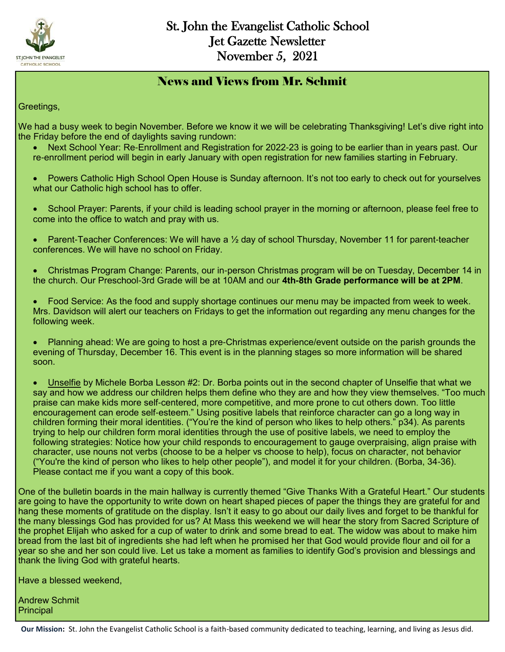

#### News and Views from Mr. Schmit

Greetings,

We had a busy week to begin November. Before we know it we will be celebrating Thanksgiving! Let's dive right into the Friday before the end of daylights saving rundown:

- Next School Year: Re-Enrollment and Registration for 2022-23 is going to be earlier than in years past. Our re-enrollment period will begin in early January with open registration for new families starting in February.
- Powers Catholic High School Open House is Sunday afternoon. It's not too early to check out for yourselves what our Catholic high school has to offer.
- School Prayer: Parents, if your child is leading school prayer in the morning or afternoon, please feel free to come into the office to watch and pray with us.
- Parent-Teacher Conferences: We will have a ½ day of school Thursday, November 11 for parent-teacher conferences. We will have no school on Friday.
- Christmas Program Change: Parents, our in-person Christmas program will be on Tuesday, December 14 in the church. Our Preschool-3rd Grade will be at 10AM and our **4th-8th Grade performance will be at 2PM**.
- Food Service: As the food and supply shortage continues our menu may be impacted from week to week. Mrs. Davidson will alert our teachers on Fridays to get the information out regarding any menu changes for the following week.
- Planning ahead: We are going to host a pre-Christmas experience/event outside on the parish grounds the evening of Thursday, December 16. This event is in the planning stages so more information will be shared soon.
- Unselfie by Michele Borba Lesson #2: Dr. Borba points out in the second chapter of Unselfie that what we say and how we address our children helps them define who they are and how they view themselves. "Too much praise can make kids more self-centered, more competitive, and more prone to cut others down. Too little encouragement can erode self-esteem." Using positive labels that reinforce character can go a long way in children forming their moral identities. ("You're the kind of person who likes to help others." p34). As parents trying to help our children form moral identities through the use of positive labels, we need to employ the following strategies: Notice how your child responds to encouragement to gauge overpraising, align praise with character, use nouns not verbs (choose to be a helper vs choose to help), focus on character, not behavior ("You're the kind of person who likes to help other people"), and model it for your children. (Borba, 34-36). Please contact me if you want a copy of this book.

One of the bulletin boards in the main hallway is currently themed "Give Thanks With a Grateful Heart." Our students are going to have the opportunity to write down on heart shaped pieces of paper the things they are grateful for and hang these moments of gratitude on the display. Isn't it easy to go about our daily lives and forget to be thankful for the many blessings God has provided for us? At Mass this weekend we will hear the story from Sacred Scripture of the prophet Elijah who asked for a cup of water to drink and some bread to eat. The widow was about to make him bread from the last bit of ingredients she had left when he promised her that God would provide flour and oil for a year so she and her son could live. Let us take a moment as families to identify God's provision and blessings and thank the living God with grateful hearts.

Have a blessed weekend,

Andrew Schmit **Principal**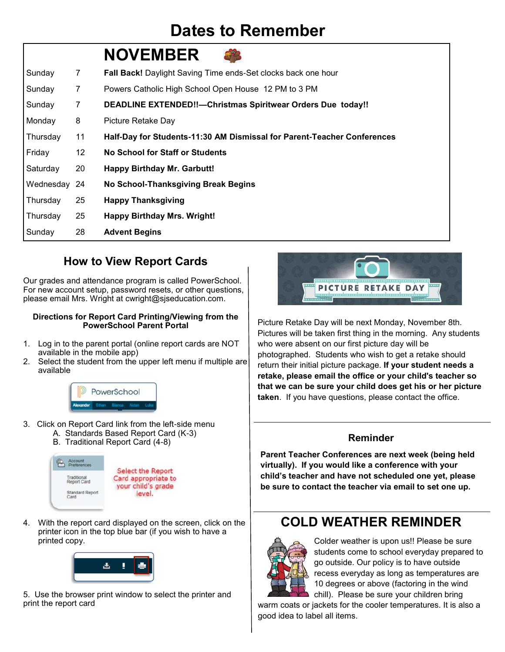## **Dates to Remember**

|              |                 | <b>NOVEMBER</b>                                                         |
|--------------|-----------------|-------------------------------------------------------------------------|
| Sunday       | 7               | Fall Back! Daylight Saving Time ends-Set clocks back one hour           |
| Sunday       | $\overline{7}$  | Powers Catholic High School Open House 12 PM to 3 PM                    |
| Sunday       | 7               | <b>DEADLINE EXTENDED!!-- Christmas Spiritwear Orders Due today!!</b>    |
| Monday       | 8               | Picture Retake Day                                                      |
| Thursday     | 11              | Half-Day for Students-11:30 AM Dismissal for Parent-Teacher Conferences |
| Friday       | 12 <sup>°</sup> | No School for Staff or Students                                         |
| Saturday     | 20              | <b>Happy Birthday Mr. Garbutt!</b>                                      |
| Wednesday 24 |                 | No School-Thanksgiving Break Begins                                     |
| Thursday     | 25              | <b>Happy Thanksgiving</b>                                               |
| Thursday     | 25              | <b>Happy Birthday Mrs. Wright!</b>                                      |
| Sunday       | 28              | <b>Advent Begins</b>                                                    |

#### **How to View Report Cards**

Our grades and attendance program is called PowerSchool. For new account setup, password resets, or other questions, please email Mrs. Wright at cwright@sjseducation.com.

#### **Directions for Report Card Printing/Viewing from the PowerSchool Parent Portal**

- 1. Log in to the parent portal (online report cards are NOT available in the mobile app)
- 2. Select the student from the upper left menu if multiple are available



- 3. Click on Report Card link from the left-side menu A. Standards Based Report Card (K-3)
	- B. Traditional Report Card (4-8)



4. With the report card displayed on the screen, click on the printer icon in the top blue bar (if you wish to have a printed copy.



5. Use the browser print window to select the printer and print the report card



Picture Retake Day will be next Monday, November 8th. Pictures will be taken first thing in the morning. Any students who were absent on our first picture day will be photographed. Students who wish to get a retake should return their initial picture package. **If your student needs a retake, please email the office or your child's teacher so that we can be sure your child does get his or her picture taken**. If you have questions, please contact the office.

#### **Reminder**

**Parent Teacher Conferences are next week (being held virtually). If you would like a conference with your child's teacher and have not scheduled one yet, please be sure to contact the teacher via email to set one up.** 

### **COLD WEATHER REMINDER**



Colder weather is upon us!! Please be sure students come to school everyday prepared to go outside. Our policy is to have outside recess everyday as long as temperatures are 10 degrees or above (factoring in the wind chill). Please be sure your children bring

warm coats or jackets for the cooler temperatures. It is also a good idea to label all items.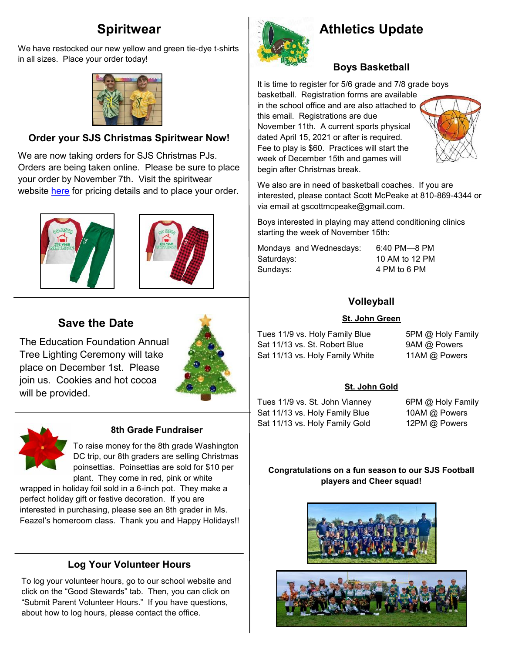### **Spiritwear**

We have restocked our new yellow and green tie-dye t-shirts in all sizes. Place your order today!



#### **Order your SJS Christmas Spiritwear Now!**

We are now taking orders for SJS Christmas PJs. Orders are being taken online. Please be sure to place your order by November 7th. Visit the spiritwear website [here](https://st-john-the-evangelist-catholic-spirit-wear.square.site/) for pricing details and to place your order.





#### **Save the Date**

The Education Foundation Annual Tree Lighting Ceremony will take place on December 1st. Please join us. Cookies and hot cocoa will be provided.





#### **8th Grade Fundraiser**

To raise money for the 8th grade Washington DC trip, our 8th graders are selling Christmas poinsettias. Poinsettias are sold for \$10 per plant. They come in red, pink or white

wrapped in holiday foil sold in a 6-inch pot. They make a perfect holiday gift or festive decoration. If you are interested in purchasing, please see an 8th grader in Ms. Feazel's homeroom class. Thank you and Happy Holidays!!

#### **Log Your Volunteer Hours**

To log your volunteer hours, go to our school website and click on the "Good Stewards" tab. Then, you can click on "Submit Parent Volunteer Hours." If you have questions, about how to log hours, please contact the office.



## **Athletics Update**

#### **Boys Basketball**

It is time to register for 5/6 grade and 7/8 grade boys

basketball. Registration forms are available in the school office and are also attached to this email. Registrations are due November 11th. A current sports physical dated April 15, 2021 or after is required. Fee to play is \$60. Practices will start the week of December 15th and games will begin after Christmas break.



We also are in need of basketball coaches. If you are interested, please contact Scott McPeake at 810-869-4344 or via email at gscottmcpeake@gmail.com.

Boys interested in playing may attend conditioning clinics starting the week of November 15th:

Mondays and Wednesdays: 6:40 PM—8 PM Saturdays: 10 AM to 12 PM Sundays: 4 PM to 6 PM

#### **Volleyball**

#### **St. John Green**

Tues 11/9 vs. Holy Family Blue 5PM @ Holy Family Sat 11/13 vs. St. Robert Blue 9AM @ Powers Sat 11/13 vs. Holy Family White 11AM @ Powers

#### **St. John Gold**

Tues 11/9 vs. St. John Vianney 6PM @ Holy Family Sat 11/13 vs. Holy Family Blue 10AM @ Powers Sat 11/13 vs. Holy Family Gold 12PM @ Powers

#### **Congratulations on a fun season to our SJS Football players and Cheer squad!**



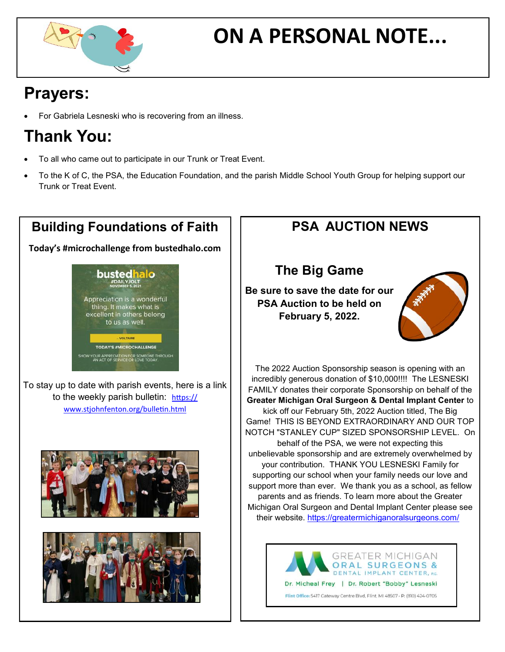

# **ON A PERSONAL NOTE...**

## **Prayers:**

For Gabriela Lesneski who is recovering from an illness.

## **Thank You:**

- To all who came out to participate in our Trunk or Treat Event.
- To the K of C, the PSA, the Education Foundation, and the parish Middle School Youth Group for helping support our Trunk or Treat Event.



## **PSA AUCTION NEWS**

### **The Big Game**

**Be sure to save the date for our PSA Auction to be held on February 5, 2022.** 



The 2022 Auction Sponsorship season is opening with an incredibly generous donation of \$10,000!!!! The LESNESKI FAMILY donates their corporate Sponsorship on behalf of the **Greater Michigan Oral Surgeon & Dental Implant Center** to kick off our February 5th, 2022 Auction titled, The Big Game! THIS IS BEYOND EXTRAORDINARY AND OUR TOP NOTCH "STANLEY CUP" SIZED SPONSORSHIP LEVEL. On behalf of the PSA, we were not expecting this unbelievable sponsorship and are extremely overwhelmed by your contribution. THANK YOU LESNESKI Family for supporting our school when your family needs our love and support more than ever. We thank you as a school, as fellow parents and as friends. To learn more about the Greater Michigan Oral Surgeon and Dental Implant Center please see their website. <https://greatermichiganoralsurgeons.com/>



Dr. Micheal Frey | Dr. Robert "Bobby" Lesneski

Flint Office: 5417 Gateway Centre Blvd, Flint, MI 48507 · P: (810) 424-0705